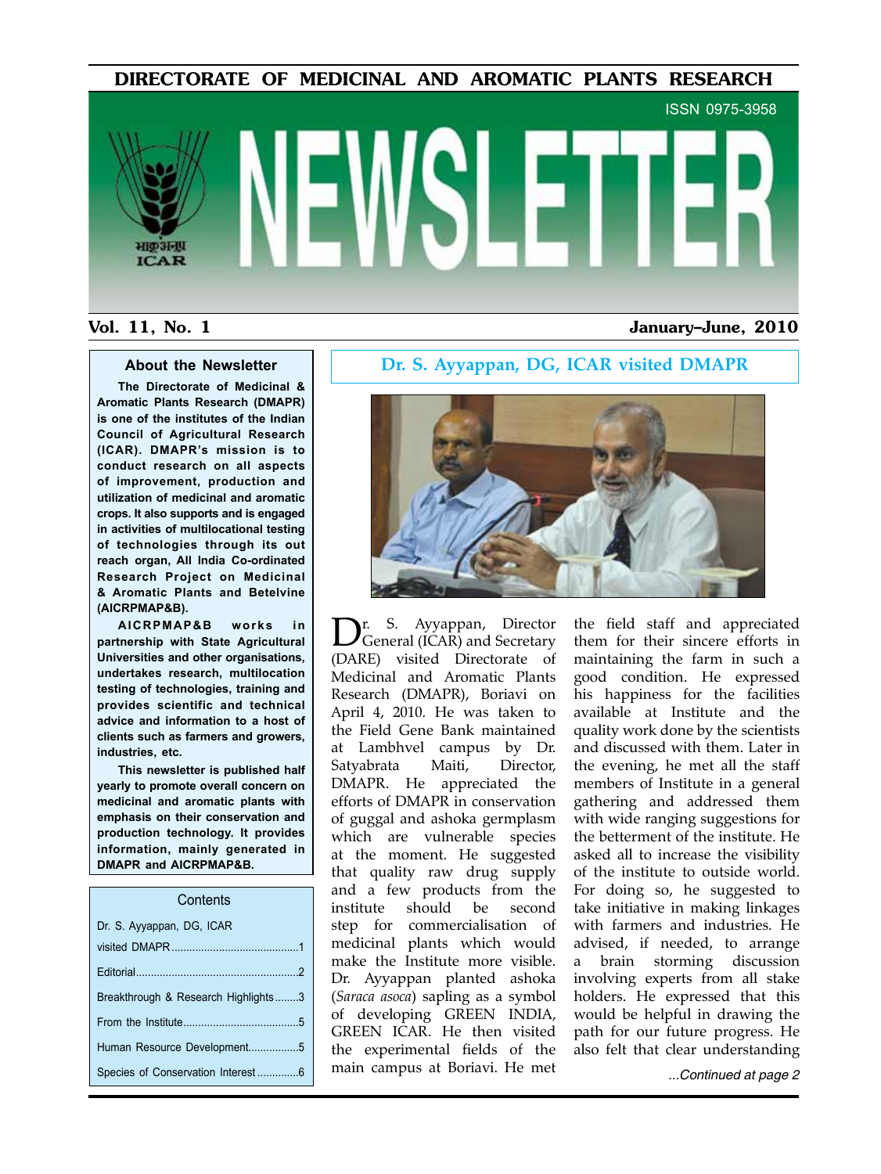DIRECTORATE OF MEDICINAL AND AROMATIC PLANTS RESEARCH

# ISSN 0975-3958 भाक अनग **ICAR**

### Vol. 11, No. 1 January–June, 2010

#### **About the Newsletter**

**The Directorate of Medicinal & Aromatic Plants Research (DMAPR) is one of the institutes of the Indian Council of Agricultural Research (ICAR). DMAPR's mission is to conduct research on all aspects of improvement, production and utilization of medicinal and aromatic crops. It also supports and is engaged in activities of multilocational testing of technologies through its out reach organ, All India Co-ordinated Research Project on Medicinal & Aromatic Plants and Betelvine (AICRPMAP&B).**

**AICRPMAP&B works in partnership with State Agricultural Universities and other organisations, undertakes research, multilocation testing of technologies, training and provides scientific and technical advice and information to a host of clients such as farmers and growers, industries, etc.**

**This newsletter is published half yearly to promote overall concern on medicinal and aromatic plants with emphasis on their conservation and production technology. It provides information, mainly generated in DMAPR and AICRPMAP&B.**

**Contents** 

| Dr. S. Ayyappan, DG, ICAR           |
|-------------------------------------|
|                                     |
|                                     |
| Breakthrough & Research Highlights3 |
|                                     |
| Human Resource Development5         |
|                                     |

#### **Dr. S. Ayyappan, DG, ICAR visited DMAPR**



Dr. S. Ayyappan, Director<br>General (ICAR) and Secretary (DARE) visited Directorate of Medicinal and Aromatic Plants Research (DMAPR), Boriavi on April 4, 2010. He was taken to the Field Gene Bank maintained at Lambhvel campus by Dr. Satyabrata Maiti, Director, DMAPR. He appreciated the efforts of DMAPR in conservation of guggal and ashoka germplasm which are vulnerable species at the moment. He suggested that quality raw drug supply and a few products from the institute should be second step for commercialisation of medicinal plants which would make the Institute more visible. Dr. Ayyappan planted ashoka (*Saraca asoca*) sapling as a symbol of developing GREEN INDIA, GREEN ICAR. He then visited the experimental fields of the main campus at Boriavi. He met

the field staff and appreciated them for their sincere efforts in maintaining the farm in such a good condition. He expressed his happiness for the facilities available at Institute and the quality work done by the scientists and discussed with them. Later in the evening, he met all the staff members of Institute in a general gathering and addressed them with wide ranging suggestions for the betterment of the institute. He asked all to increase the visibility of the institute to outside world. For doing so, he suggested to take initiative in making linkages with farmers and industries. He advised, if needed, to arrange a brain storming discussion involving experts from all stake holders. He expressed that this would be helpful in drawing the path for our future progress. He also felt that clear understanding

Species of Conservation Interest ..............6 *...Continued at page 2*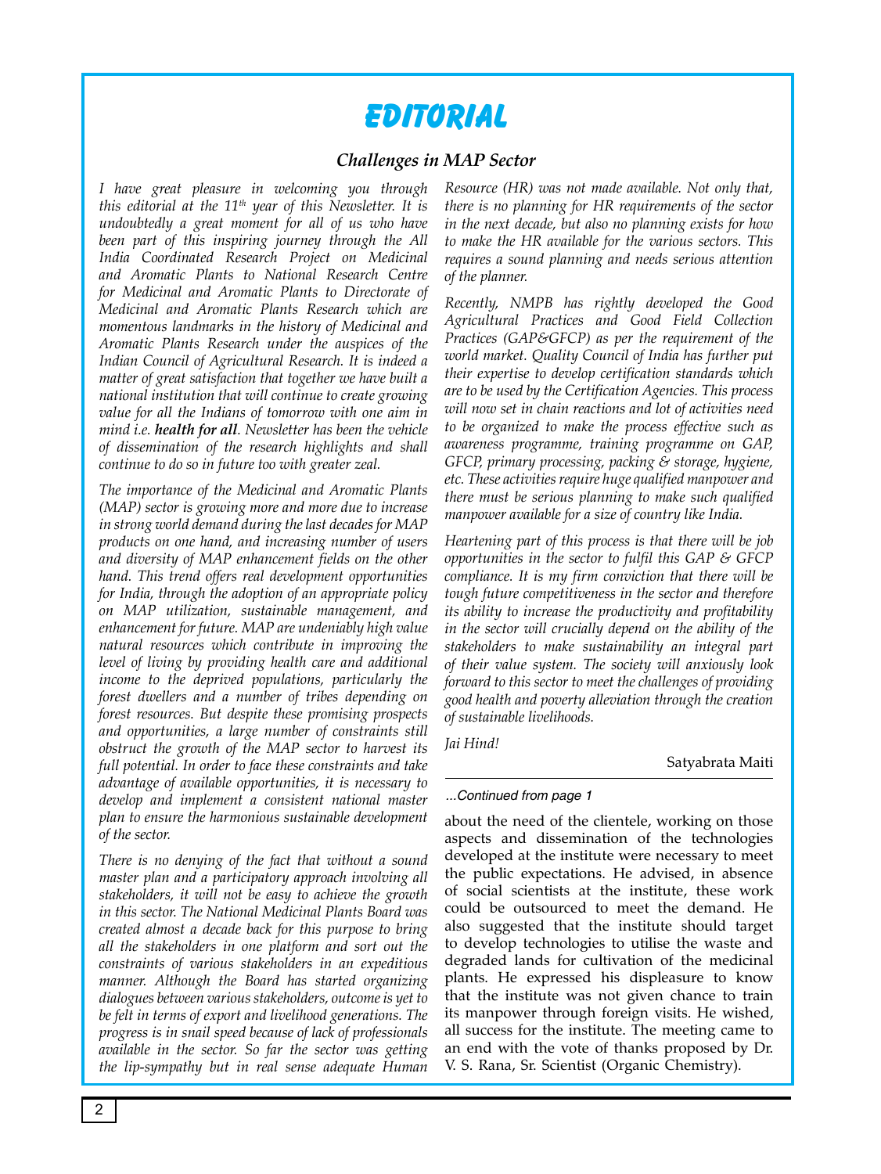# **Editorial**

#### *Challenges in MAP Sector*

*I have great pleasure in welcoming you through this editorial at the 11th year of this Newsletter. It is undoubtedly a great moment for all of us who have been part of this inspiring journey through the All India Coordinated Research Project on Medicinal and Aromatic Plants to National Research Centre for Medicinal and Aromatic Plants to Directorate of Medicinal and Aromatic Plants Research which are momentous landmarks in the history of Medicinal and Aromatic Plants Research under the auspices of the Indian Council of Agricultural Research. It is indeed a matter of great satisfaction that together we have built a national institution that will continue to create growing value for all the Indians of tomorrow with one aim in mind i.e. health for all. Newsletter has been the vehicle of dissemination of the research highlights and shall continue to do so in future too with greater zeal.* 

*The importance of the Medicinal and Aromatic Plants (MAP) sector is growing more and more due to increase in strong world demand during the last decades for MAP products on one hand, and increasing number of users and diversity of MAP enhancement fields on the other hand. This trend offers real development opportunities for India, through the adoption of an appropriate policy on MAP utilization, sustainable management, and enhancement for future. MAP are undeniably high value natural resources which contribute in improving the level of living by providing health care and additional income to the deprived populations, particularly the forest dwellers and a number of tribes depending on forest resources. But despite these promising prospects and opportunities, a large number of constraints still obstruct the growth of the MAP sector to harvest its full potential. In order to face these constraints and take advantage of available opportunities, it is necessary to develop and implement a consistent national master plan to ensure the harmonious sustainable development of the sector.*

*There is no denying of the fact that without a sound master plan and a participatory approach involving all stakeholders, it will not be easy to achieve the growth in this sector. The National Medicinal Plants Board was created almost a decade back for this purpose to bring all the stakeholders in one platform and sort out the constraints of various stakeholders in an expeditious manner. Although the Board has started organizing dialogues between various stakeholders, outcome is yet to be felt in terms of export and livelihood generations. The progress is in snail speed because of lack of professionals available in the sector. So far the sector was getting the lip-sympathy but in real sense adequate Human* 

*Resource (HR) was not made available. Not only that, there is no planning for HR requirements of the sector in the next decade, but also no planning exists for how to make the HR available for the various sectors. This requires a sound planning and needs serious attention of the planner.* 

*Recently, NMPB has rightly developed the Good Agricultural Practices and Good Field Collection Practices (GAP&GFCP) as per the requirement of the world market. Quality Council of India has further put their expertise to develop certification standards which are to be used by the Certification Agencies. This process will now set in chain reactions and lot of activities need to be organized to make the process effective such as awareness programme, training programme on GAP, GFCP, primary processing, packing & storage, hygiene, etc. These activities require huge qualified manpower and there must be serious planning to make such qualified manpower available for a size of country like India.* 

*Heartening part of this process is that there will be job opportunities in the sector to fulfil this GAP & GFCP compliance. It is my firm conviction that there will be tough future competitiveness in the sector and therefore its ability to increase the productivity and profitability in the sector will crucially depend on the ability of the stakeholders to make sustainability an integral part of their value system. The society will anxiously look forward to this sector to meet the challenges of providing good health and poverty alleviation through the creation of sustainable livelihoods.*

*Jai Hind!*

Satyabrata Maiti

#### *...Continued from page 1*

about the need of the clientele, working on those aspects and dissemination of the technologies developed at the institute were necessary to meet the public expectations. He advised, in absence of social scientists at the institute, these work could be outsourced to meet the demand. He also suggested that the institute should target to develop technologies to utilise the waste and degraded lands for cultivation of the medicinal plants. He expressed his displeasure to know that the institute was not given chance to train its manpower through foreign visits. He wished, all success for the institute. The meeting came to an end with the vote of thanks proposed by Dr. V. S. Rana, Sr. Scientist (Organic Chemistry).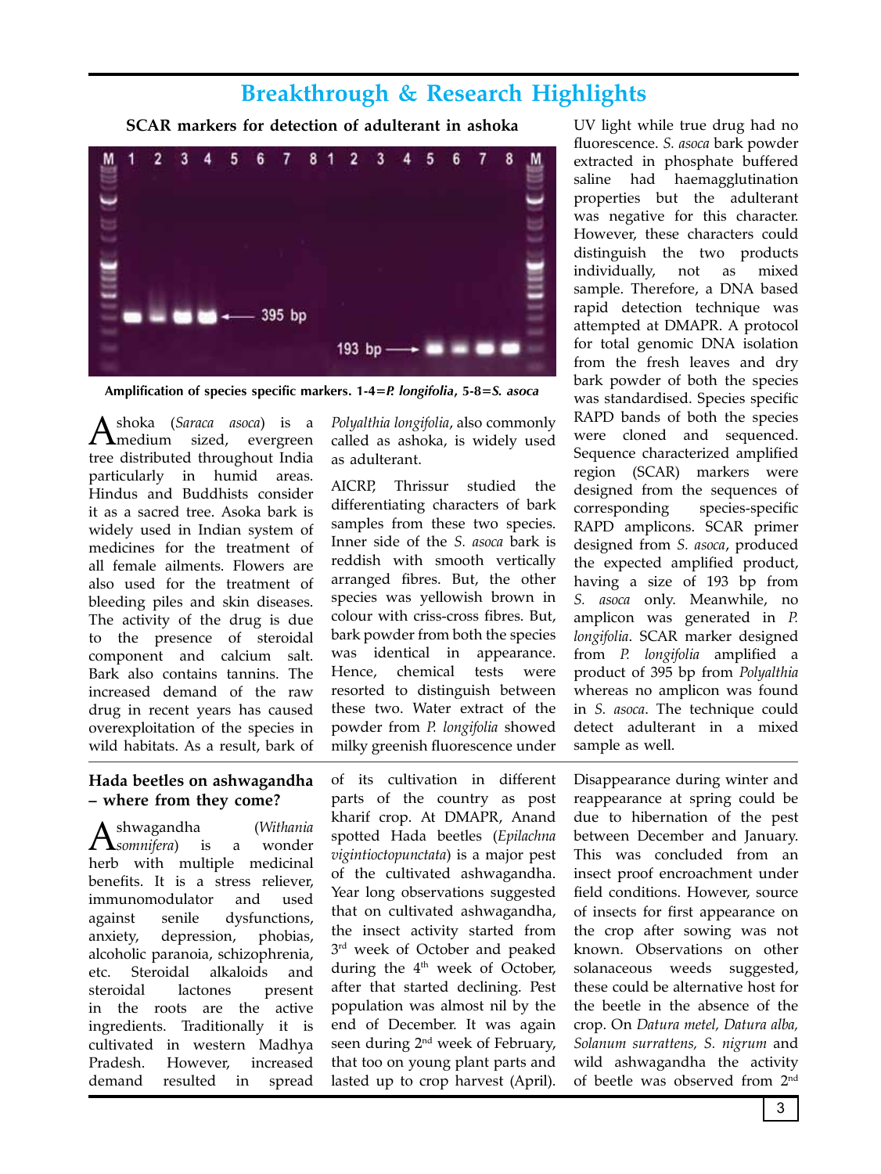# **Breakthrough & Research Highlights**

**SCAR markers for detection of adulterant in ashoka**



**Amplification of species specific markers. 1-4=***P. longifolia***, 5-8=***S. asoca*

Ashoka (*Saraca asoca*) is a medium sized, evergreen tree distributed throughout India particularly in humid areas. Hindus and Buddhists consider it as a sacred tree. Asoka bark is widely used in Indian system of medicines for the treatment of all female ailments. Flowers are also used for the treatment of bleeding piles and skin diseases. The activity of the drug is due to the presence of steroidal component and calcium salt. Bark also contains tannins. The increased demand of the raw drug in recent years has caused overexploitation of the species in wild habitats. As a result, bark of

#### **Hada beetles on ashwagandha – where from they come?**

Ashwagandha (*Withania somnifera*) is a wonder herb with multiple medicinal benefits. It is a stress reliever, immunomodulator and used against senile dysfunctions, anxiety, depression, phobias, alcoholic paranoia, schizophrenia, etc. Steroidal alkaloids and steroidal lactones present in the roots are the active ingredients. Traditionally it is cultivated in western Madhya Pradesh. However, increased demand resulted in spread

*Polyalthia longifolia*, also commonly called as ashoka, is widely used as adulterant.

AICRP, Thrissur studied the differentiating characters of bark samples from these two species. Inner side of the *S. asoca* bark is reddish with smooth vertically arranged fibres. But, the other species was yellowish brown in colour with criss-cross fibres. But, bark powder from both the species was identical in appearance. Hence, chemical tests were resorted to distinguish between these two. Water extract of the powder from *P. longifolia* showed milky greenish fluorescence under

of its cultivation in different parts of the country as post kharif crop. At DMAPR, Anand spotted Hada beetles (*Epilachna vigintioctopunctata*) is a major pest of the cultivated ashwagandha. Year long observations suggested that on cultivated ashwagandha, the insect activity started from 3<sup>rd</sup> week of October and peaked during the 4<sup>th</sup> week of October, after that started declining. Pest population was almost nil by the end of December. It was again seen during 2<sup>nd</sup> week of February, that too on young plant parts and lasted up to crop harvest (April).

UV light while true drug had no fluorescence. *S. asoca* bark powder extracted in phosphate buffered saline had haemagglutination properties but the adulterant was negative for this character. However, these characters could distinguish the two products individually, not as mixed sample. Therefore, a DNA based rapid detection technique was attempted at DMAPR. A protocol for total genomic DNA isolation from the fresh leaves and dry bark powder of both the species was standardised. Species specific RAPD bands of both the species were cloned and sequenced. Sequence characterized amplified region (SCAR) markers were designed from the sequences of corresponding species-specific RAPD amplicons. SCAR primer designed from *S. asoca*, produced the expected amplified product, having a size of 193 bp from *S. asoca* only. Meanwhile, no amplicon was generated in *P. longifolia*. SCAR marker designed from *P. longifolia* amplified a product of 395 bp from *Polyalthia*  whereas no amplicon was found in *S. asoca*. The technique could detect adulterant in a mixed sample as well.

Disappearance during winter and reappearance at spring could be due to hibernation of the pest between December and January. This was concluded from an insect proof encroachment under field conditions. However, source of insects for first appearance on the crop after sowing was not known. Observations on other solanaceous weeds suggested, these could be alternative host for the beetle in the absence of the crop. On *Datura metel, Datura alba, Solanum surrattens, S. nigrum* and wild ashwagandha the activity of beetle was observed from 2nd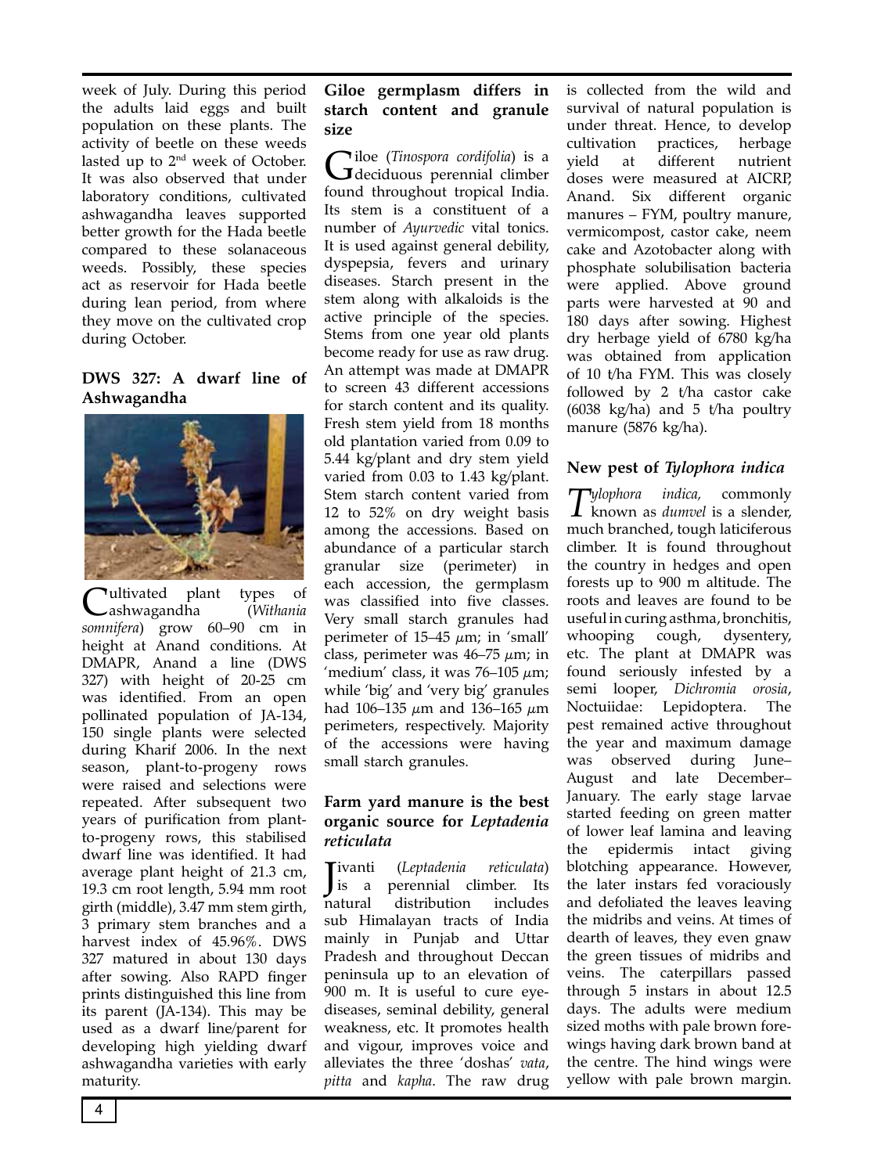week of July. During this period the adults laid eggs and built population on these plants. The activity of beetle on these weeds lasted up to 2nd week of October. It was also observed that under laboratory conditions, cultivated ashwagandha leaves supported better growth for the Hada beetle compared to these solanaceous weeds. Possibly, these species act as reservoir for Hada beetle during lean period, from where they move on the cultivated crop during October.

#### **DWS 327: A dwarf line of Ashwagandha**



Cultivated plant types of ashwagandha (*Withania somnifera*) grow 60–90 cm in height at Anand conditions. At DMAPR, Anand a line (DWS 327) with height of 20-25 cm was identified. From an open pollinated population of JA-134, 150 single plants were selected during Kharif 2006. In the next season, plant-to-progeny rows were raised and selections were repeated. After subsequent two years of purification from plantto-progeny rows, this stabilised dwarf line was identified. It had average plant height of 21.3 cm, 19.3 cm root length, 5.94 mm root girth (middle), 3.47 mm stem girth, 3 primary stem branches and a harvest index of 45.96%. DWS 327 matured in about 130 days after sowing. Also RAPD finger prints distinguished this line from its parent (JA-134). This may be used as a dwarf line/parent for developing high yielding dwarf ashwagandha varieties with early maturity.

#### **Giloe germplasm differs in starch content and granule size**

Giloe (*Tinospora cordifolia*) is a deciduous perennial climber found throughout tropical India. Its stem is a constituent of a number of *Ayurvedic* vital tonics. It is used against general debility, dyspepsia, fevers and urinary diseases. Starch present in the stem along with alkaloids is the active principle of the species. Stems from one year old plants become ready for use as raw drug. An attempt was made at DMAPR to screen 43 different accessions for starch content and its quality. Fresh stem yield from 18 months old plantation varied from 0.09 to 5.44 kg/plant and dry stem yield varied from 0.03 to 1.43 kg/plant. Stem starch content varied from 12 to 52% on dry weight basis among the accessions. Based on abundance of a particular starch granular size (perimeter) in each accession, the germplasm was classified into five classes. Very small starch granules had perimeter of  $15-45 \mu m$ ; in 'small' class, perimeter was  $46-75 \mu m$ ; in 'medium' class, it was  $76-105 \mu m$ ; while 'big' and 'very big' granules had 106–135  $\mu$ m and 136–165  $\mu$ m perimeters, respectively. Majority of the accessions were having small starch granules.

#### **Farm yard manure is the best organic source for** *Leptadenia reticulata*

Jivanti (Leptadenia reticulata)<br>
is a perennial climber. Its ivanti (*Leptadenia reticulata*) natural distribution includes sub Himalayan tracts of India mainly in Punjab and Uttar Pradesh and throughout Deccan peninsula up to an elevation of 900 m. It is useful to cure eyediseases, seminal debility, general weakness, etc. It promotes health and vigour, improves voice and alleviates the three 'doshas' *vata*, *pitta* and *kapha*. The raw drug is collected from the wild and survival of natural population is under threat. Hence, to develop cultivation practices, herbage yield at different nutrient doses were measured at AICRP, Anand. Six different organic manures – FYM, poultry manure, vermicompost, castor cake, neem cake and Azotobacter along with phosphate solubilisation bacteria were applied. Above ground parts were harvested at 90 and 180 days after sowing. Highest dry herbage yield of 6780 kg/ha was obtained from application of 10 t/ha FYM. This was closely followed by 2 t/ha castor cake (6038 kg/ha) and 5 t/ha poultry manure (5876 kg/ha).

### **New pest of** *Tylophora indica*

*Tylophora indica,* commonly known as *dumvel* is a slender, much branched, tough laticiferous climber. It is found throughout the country in hedges and open forests up to 900 m altitude. The roots and leaves are found to be useful in curing asthma, bronchitis, whooping cough, dysentery, etc. The plant at DMAPR was found seriously infested by a semi looper, *Dichromia orosia*, Noctuiidae: Lepidoptera. The pest remained active throughout the year and maximum damage was observed during June– August and late December– January. The early stage larvae started feeding on green matter of lower leaf lamina and leaving the epidermis intact giving blotching appearance. However, the later instars fed voraciously and defoliated the leaves leaving the midribs and veins. At times of dearth of leaves, they even gnaw the green tissues of midribs and veins. The caterpillars passed through 5 instars in about 12.5 days. The adults were medium sized moths with pale brown forewings having dark brown band at the centre. The hind wings were yellow with pale brown margin.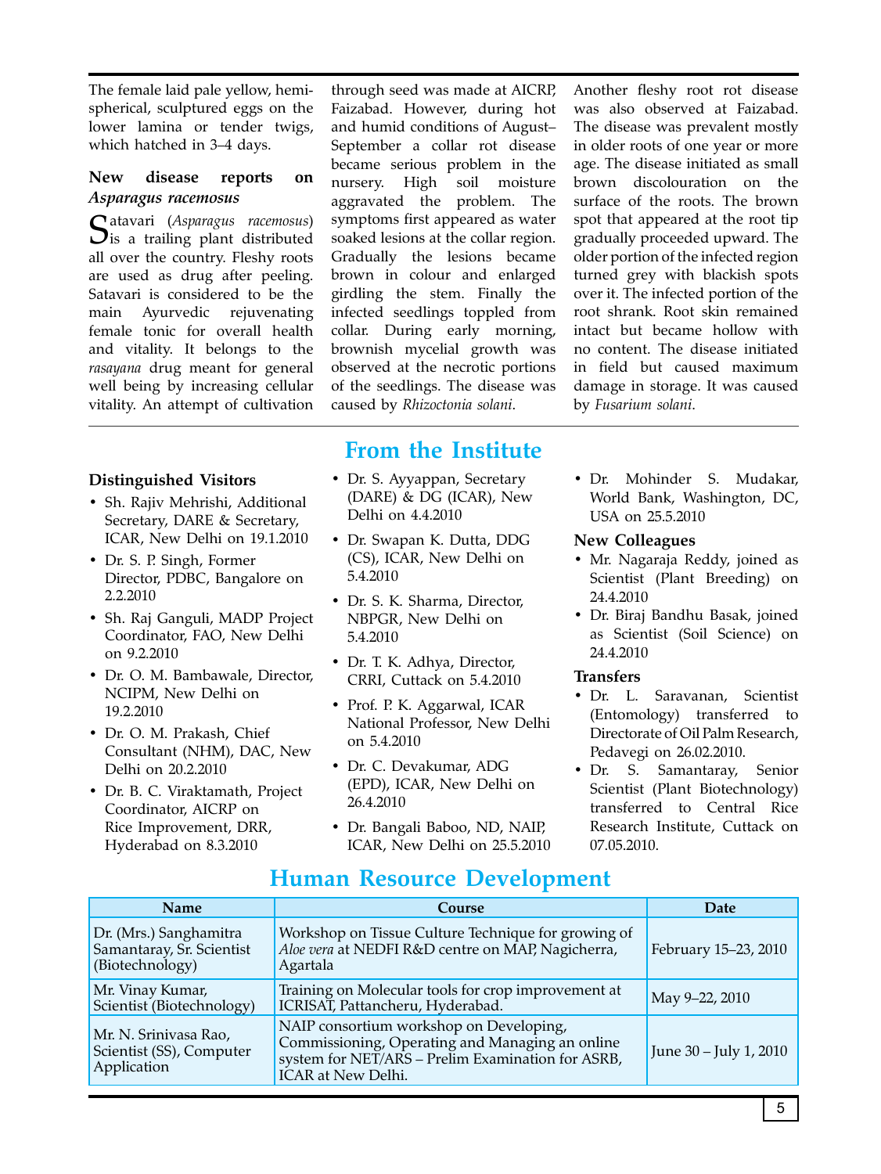The female laid pale yellow, hemispherical, sculptured eggs on the lower lamina or tender twigs, which hatched in 3–4 days.

#### **New disease reports on**  *Asparagus racemosus*

Satavari (*Asparagus racemosus*) is a trailing plant distributed all over the country. Fleshy roots are used as drug after peeling. Satavari is considered to be the main Ayurvedic rejuvenating female tonic for overall health and vitality. It belongs to the *rasayana* drug meant for general well being by increasing cellular vitality. An attempt of cultivation

**Distinguished Visitors**

- Sh. Rajiv Mehrishi, Additional Secretary, DARE & Secretary, ICAR, New Delhi on 19.1.2010
- Dr. S. P. Singh, Former Director, PDBC, Bangalore on 2.2.2010
- Sh. Raj Ganguli, MADP Project Coordinator, FAO, New Delhi on 9.2.2010
- Dr. O. M. Bambawale, Director, NCIPM, New Delhi on 19.2.2010
- • Dr. O. M. Prakash, Chief Consultant (NHM), DAC, New Delhi on 20.2.2010
- Dr. B. C. Viraktamath, Project Coordinator, AICRP on Rice Improvement, DRR, Hyderabad on 8.3.2010

through seed was made at AICRP, Faizabad. However, during hot and humid conditions of August– September a collar rot disease became serious problem in the nursery. High soil moisture aggravated the problem. The symptoms first appeared as water soaked lesions at the collar region. Gradually the lesions became brown in colour and enlarged girdling the stem. Finally the infected seedlings toppled from collar. During early morning, brownish mycelial growth was observed at the necrotic portions of the seedlings. The disease was caused by *Rhizoctonia solani*.

# **From the Institute**

- Dr. S. Ayyappan, Secretary (DARE) & DG (ICAR), New Delhi on 4.4.2010
- Dr. Swapan K. Dutta, DDG (CS), ICAR, New Delhi on 5.4.2010
- Dr. S. K. Sharma, Director, NBPGR, New Delhi on 5.4.2010
- Dr. T. K. Adhya, Director, CRRI, Cuttack on 5.4.2010
- Prof. P. K. Aggarwal, ICAR National Professor, New Delhi on 5.4.2010
- Dr. C. Devakumar, ADG (EPD), ICAR, New Delhi on 26.4.2010
- • Dr. Bangali Baboo, ND, NAIP, ICAR, New Delhi on 25.5.2010

Another fleshy root rot disease was also observed at Faizabad. The disease was prevalent mostly in older roots of one year or more age. The disease initiated as small brown discolouration on the surface of the roots. The brown spot that appeared at the root tip gradually proceeded upward. The older portion of the infected region turned grey with blackish spots over it. The infected portion of the root shrank. Root skin remained intact but became hollow with no content. The disease initiated in field but caused maximum damage in storage. It was caused by *Fusarium solani*.

• Dr. Mohinder S. Mudakar, World Bank, Washington, DC, USA on 25.5.2010

#### **New Colleagues**

- Mr. Nagaraja Reddy, joined as Scientist (Plant Breeding) on 24.4.2010
- • Dr. Biraj Bandhu Basak, joined as Scientist (Soil Science) on 24.4.2010

#### **Transfers**

- • Dr. L. Saravanan, Scientist (Entomology) transferred to Directorate of Oil Palm Research, Pedavegi on 26.02.2010.
- Dr. S. Samantaray, Senior Scientist (Plant Biotechnology) transferred to Central Rice Research Institute, Cuttack on 07.05.2010.

# **Human Resource Development**

| <b>Name</b>                                                            | <b>Course</b>                                                                                                                                                                | Date                   |
|------------------------------------------------------------------------|------------------------------------------------------------------------------------------------------------------------------------------------------------------------------|------------------------|
| Dr. (Mrs.) Sanghamitra<br>Samantaray, Sr. Scientist<br>(Biotechnology) | Workshop on Tissue Culture Technique for growing of<br>Aloe vera at NEDFI R&D centre on MAP, Nagicherra,<br>Agartala                                                         | February 15-23, 2010   |
| Mr. Vinay Kumar,<br>Scientist (Biotechnology)                          | Training on Molecular tools for crop improvement at<br>ICRISAT, Pattancheru, Hyderabad.                                                                                      | May 9-22, 2010         |
| Mr. N. Srinivasa Rao,<br>Scientist (SS), Computer<br>Application       | NAIP consortium workshop on Developing,<br>Commissioning, Operating and Managing an online<br>system for NET/ARS - Prelim Examination for ASRB,<br><b>ICAR at New Delhi.</b> | June 30 - July 1, 2010 |